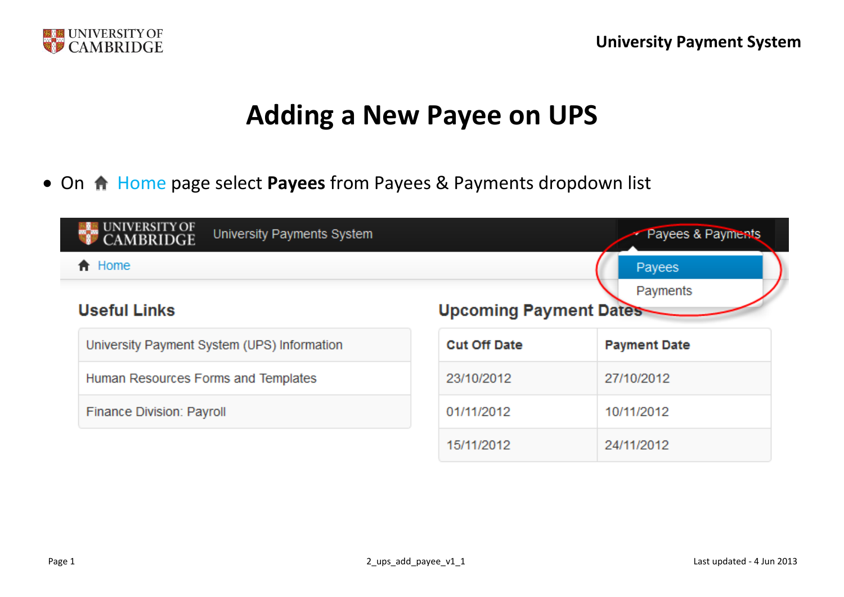

## **Adding a New Payee on UPS**

• On  $\bigtriangleup$  Home page select Payees from Payees & Payments dropdown list

| UNIVERSITY OF<br>CAMBRIDGE<br>University Payments System | Payees & Payments             |                     |
|----------------------------------------------------------|-------------------------------|---------------------|
| <del>A</del> Home                                        | Payees                        |                     |
| <b>Useful Links</b>                                      | <b>Upcoming Payment Dates</b> | Payments            |
| University Payment System (UPS) Information              | <b>Cut Off Date</b>           | <b>Payment Date</b> |
| Human Resources Forms and Templates                      | 23/10/2012                    | 27/10/2012          |
| Finance Division: Payroll                                | 01/11/2012                    | 10/11/2012          |
|                                                          | 15/11/2012                    | 24/11/2012          |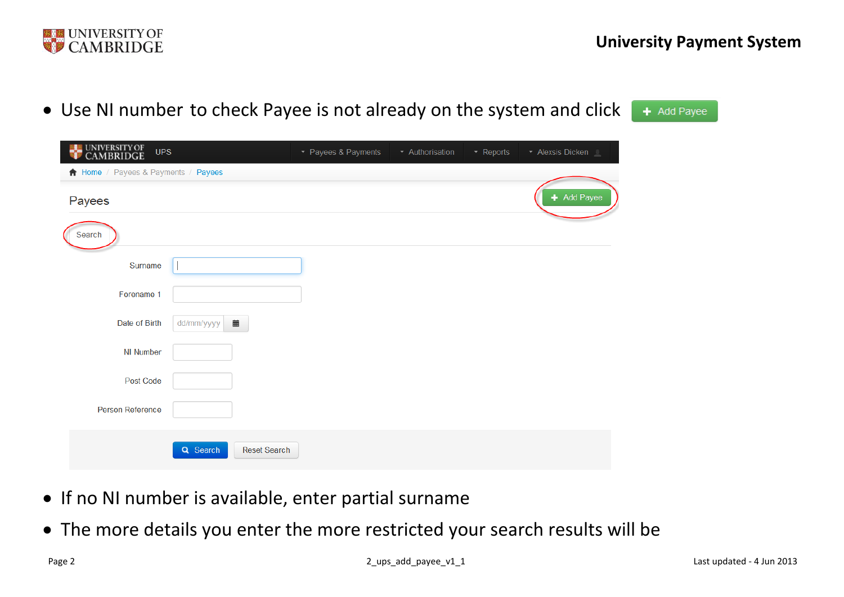

| • Use NI number to check Payee is not already on the system and click |                     |               |                 |                | $+$ Add Payee |
|-----------------------------------------------------------------------|---------------------|---------------|-----------------|----------------|---------------|
| UNIVERSITY OF<br>CAMBRIDGE<br><b>UPS</b>                              | • Payees & Payments | Authorisation | $\cdot$ Reports | Alexsis Dicken |               |
| <b>A</b> Home / Payees & Payments / Payees                            |                     |               |                 |                |               |
| Payees                                                                |                     |               |                 | - Add Payee    |               |
|                                                                       |                     |               |                 |                |               |

| $\overline{\phantom{a}}$ |                                 |
|--------------------------|---------------------------------|
| Search                   |                                 |
| Surname                  |                                 |
| Forename 1               |                                 |
| Date of Birth            | dd/mm/yyyy $\frac{1}{2}$        |
| NI Number                |                                 |
| Post Code                |                                 |
| Person Reference         |                                 |
|                          | Q Search<br><b>Reset Search</b> |

- If no NI number is available, enter partial surname
- The more details you enter the more restricted your search results will be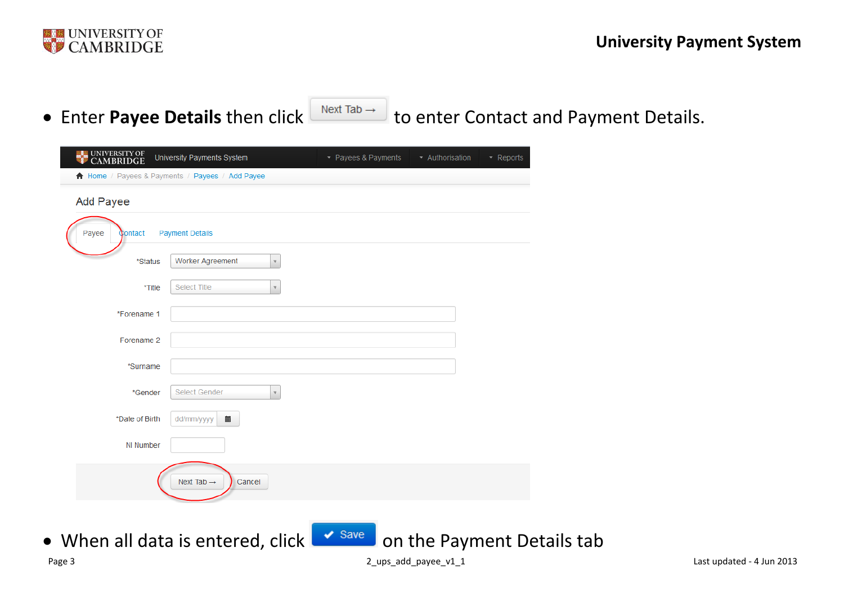

• Enter Payee Details then click **Next Tab Audit Contact and Payment Details.** 

| <b>EXAMPLE UNIVERSITY OF</b> | University Payments System                      | ▼ Payees & Payments | ▼ Authorisation | $\blacktriangleright$ Reports |
|------------------------------|-------------------------------------------------|---------------------|-----------------|-------------------------------|
|                              | A Home / Payees & Payments / Payees / Add Payee |                     |                 |                               |
| <b>Add Payee</b>             |                                                 |                     |                 |                               |
| Payee<br>Contact             | <b>Payment Details</b>                          |                     |                 |                               |
| *Status                      | <b>Worker Agreement</b><br>$\forall$            |                     |                 |                               |
| *Title                       | Select Title<br>$\mathbf{v}$                    |                     |                 |                               |
| *Forename 1                  |                                                 |                     |                 |                               |
| Forename 2                   |                                                 |                     |                 |                               |
| *Surname                     |                                                 |                     |                 |                               |
| *Gender                      | Select Gender<br>$\overline{\mathbf{v}}$        |                     |                 |                               |
| *Date of Birth               | 藟<br>dd/mm/yyyy                                 |                     |                 |                               |
| NI Number                    |                                                 |                     |                 |                               |
|                              | Next Tab $\rightarrow$<br>Cancel                |                     |                 |                               |
|                              |                                                 |                     |                 |                               |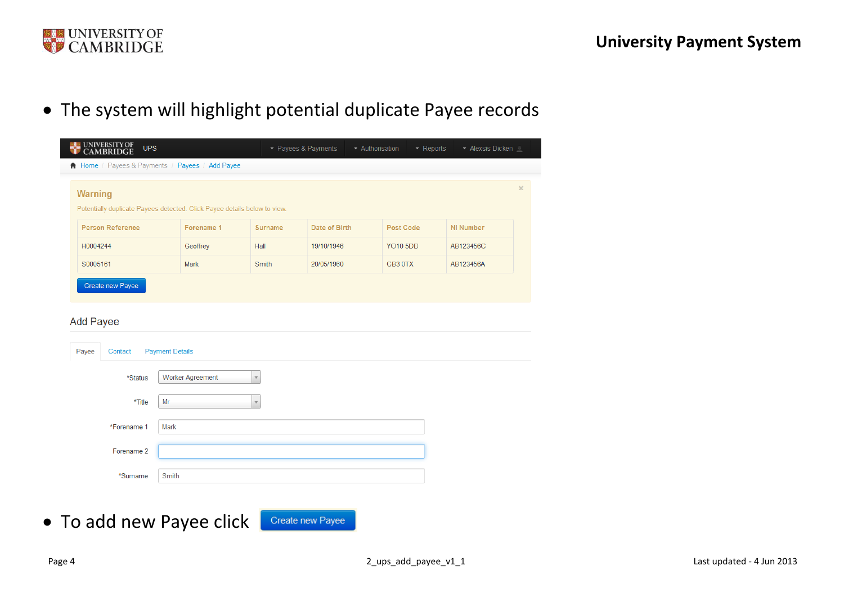

The system will highlight potential duplicate Payee records

| UNIVERSITY OF<br>CAMBRIDGE<br><b>UPS</b>                                  |            |         | - Payees & Payments | - Authorisation<br>$\star$ Reports | - Alexsis Dicken |  |
|---------------------------------------------------------------------------|------------|---------|---------------------|------------------------------------|------------------|--|
| Home / Payees & Payments / Payees / Add Payee                             |            |         |                     |                                    |                  |  |
|                                                                           |            |         |                     |                                    |                  |  |
| <b>Warning</b>                                                            |            |         |                     |                                    |                  |  |
| Potentially duplicate Payees detected. Click Payee details below to view. |            |         |                     |                                    |                  |  |
| <b>Person Reference</b>                                                   | Forename 1 | Surname | Date of Birth       | <b>Post Code</b>                   | <b>NI Number</b> |  |
| H0004244                                                                  | Geoffrey   | Hall    | 19/10/1946          | YO105DD                            | AB123456C        |  |
|                                                                           | Mark       | Smith   | 20/05/1960          | CB <sub>3</sub> OTX                | AB123456A        |  |
| S0005161                                                                  |            |         |                     |                                    |                  |  |

## **Add Payee**

| Payee | Contact     | <b>Payment Details</b>  |
|-------|-------------|-------------------------|
|       | *Status     | <b>Worker Agreement</b> |
|       | *Title      | Mr                      |
|       | *Forename 1 | Mark                    |
|       | Forename 2  |                         |
|       | *Surname    | Smith                   |

 To add new Payee click Create new Payee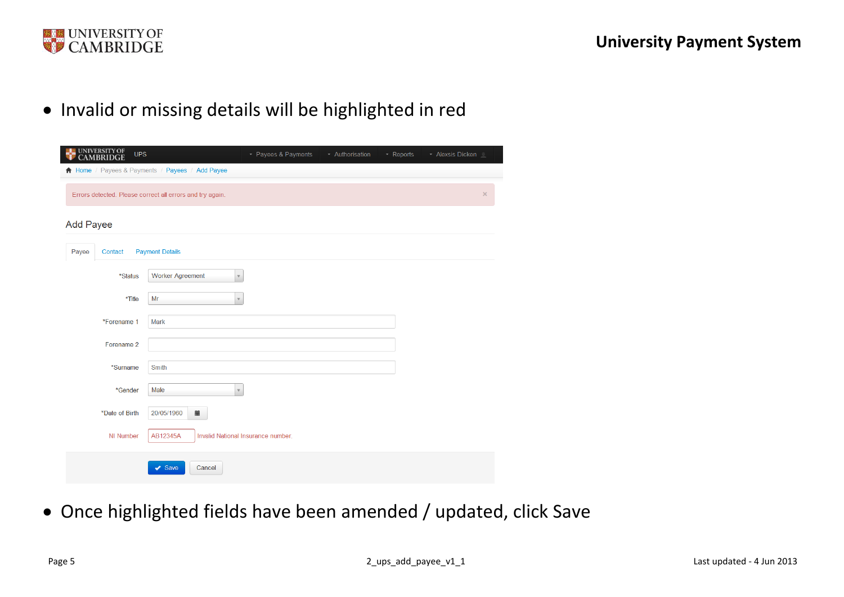

• Invalid or missing details will be highlighted in red

| <b>UNIVERSITY OF<br/>CAMBRIDGE</b><br><b>UPS</b> |                                                           | • Payees & Payments                | • Authorisation | - Reports | Alexsis Dicken |
|--------------------------------------------------|-----------------------------------------------------------|------------------------------------|-----------------|-----------|----------------|
|                                                  | Home / Payees & Payments / Payees / Add Payee             |                                    |                 |           |                |
|                                                  | Errors detected. Please correct all errors and try again. |                                    |                 |           | $\times$       |
| <b>Add Payee</b>                                 |                                                           |                                    |                 |           |                |
| Payee<br>Contact                                 | <b>Payment Details</b>                                    |                                    |                 |           |                |
| *Status                                          | <b>Worker Agreement</b>                                   | $\mathbf{v}$                       |                 |           |                |
| *Title                                           | Mr                                                        | $\mathbf v$                        |                 |           |                |
| *Forename 1                                      | Mark                                                      |                                    |                 |           |                |
| Forename 2                                       |                                                           |                                    |                 |           |                |
| *Surname                                         | Smith                                                     |                                    |                 |           |                |
| *Gender                                          | Male                                                      | $\mathbf v$                        |                 |           |                |
| *Date of Birth                                   | 藟<br>20/05/1960                                           |                                    |                 |           |                |
| <b>NI Number</b>                                 | AB12345A                                                  | Invalid National Insurance number. |                 |           |                |
|                                                  | $\blacktriangleright$ Save<br>Cancel                      |                                    |                 |           |                |

Once highlighted fields have been amended / updated, click Save